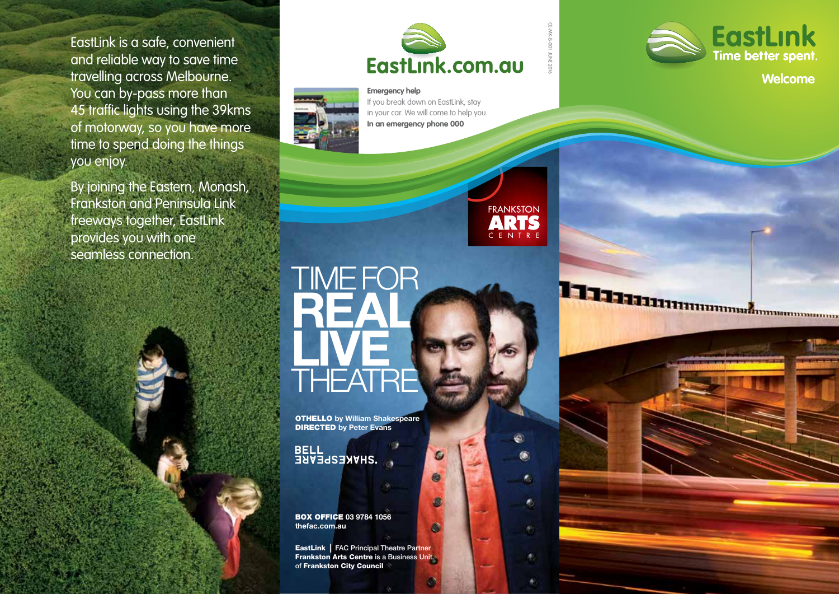EastLink is a safe, convenient and reliable way to save time travelling across Melbourne. You can by-pass more than 45 traffic lights using the 39kms of motorway, so you have more time to spend doing the things you enjoy.

By joining the Eastern, Monash, Frankston and Peninsula Link freeways together, EastLink provides you with one seamless connection.



CE-MK-B-001 JUNE 2016

**FRANKSTON** ARTS CENTRI

¢.

**C** 

府

۸



**Emergency help**  If you break down on EastLink, stay in your car. We will come to help you. **In an emergency phone 000**



Haannummannummannum

# **THEATRE TIME FOR REAL** LIVE

**OTHELLO** by William Shakespeare DIRECTED by Peter Evans

**BELL<br>BELL<br>BELL** 

BOX OFFICE 03 9784 1056 thefac.com.au

**EastLink** | FAC Principal Theatre Partner **Frankston Arts Centre is a Business Unit** of Frankston City Council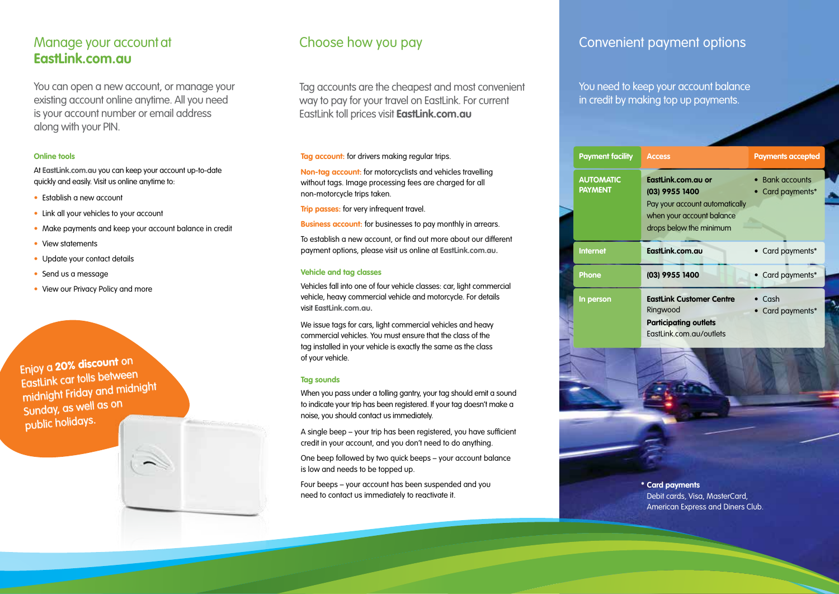## Manage your account at **EastLink.com.au**

You can open a new account, or manage your existing account online anytime. All you need is your account number or email address along with your PIN.

#### **Online tools**

At **EastLink.com.au** you can keep your account up-to-date quickly and easily. Visit us online anytime to:

- Establish a new account
- Link all your vehicles to your account
- Make payments and keep your account balance in credit
- View statements
- Update your contact details
- Send us a message
- View our Privacy Policy and more

Enjoy a 20% discount on EastLink car tolls between midnight Friday and midnight Sunday, as well as on public holidays.



# Choose how you pay

Tag accounts are the cheapest and most convenient way to pay for your travel on EastLink. For current EastLink toll prices visit **EastLink.com.au**

#### **Tag account:** for drivers making regular trips.

**Non-tag account:** for motorcyclists and vehicles travelling without tags. Image processing fees are charged for all non-motorcycle trips taken.

**Trip passes:** for very infrequent travel.

**Business account:** for businesses to pay monthly in arrears.

To establish a new account, or find out more about our different payment options, please visit us online at **EastLink.com.au.**

#### **Vehicle and tag classes**

Vehicles fall into one of four vehicle classes: car, light commercial vehicle, heavy commercial vehicle and motorcycle. For details visit **EastLink.com.au.**

We issue tags for cars, light commercial vehicles and heavy commercial vehicles. You must ensure that the class of the tag installed in your vehicle is exactly the same as the class of your vehicle.

#### **Tag sounds**

When you pass under a tolling gantry, your tag should emit a sound to indicate your trip has been registered. If your tag doesn't make a noise, you should contact us immediately.

A single beep – your trip has been registered, you have sufficient credit in your account, and you don't need to do anything.

One beep followed by two quick beeps – your account balance is low and needs to be topped up.

Four beeps – your account has been suspended and you need to contact us immediately to reactivate it.

## Convenient payment options

You need to keep your account balance in credit by making top up payments.



**\* Card payments** Debit cards, Visa, MasterCard, American Express and Diners Club.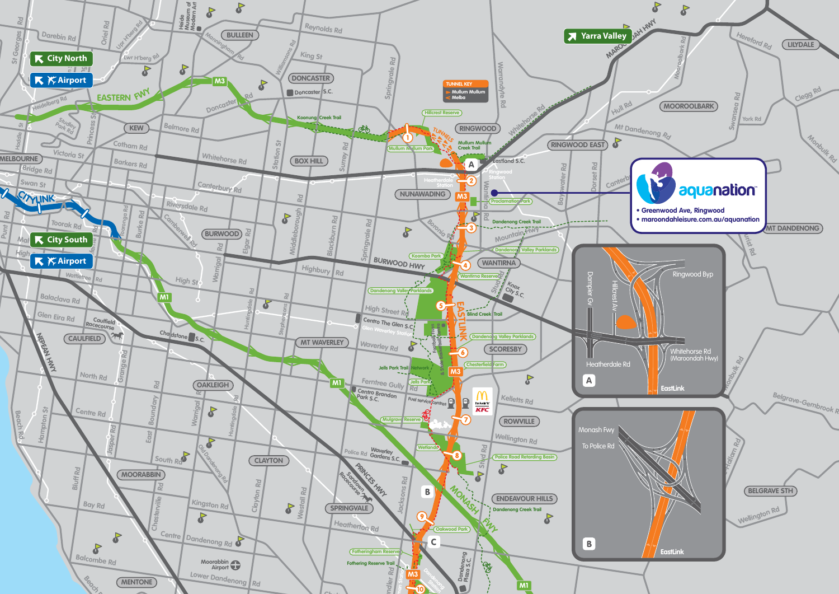